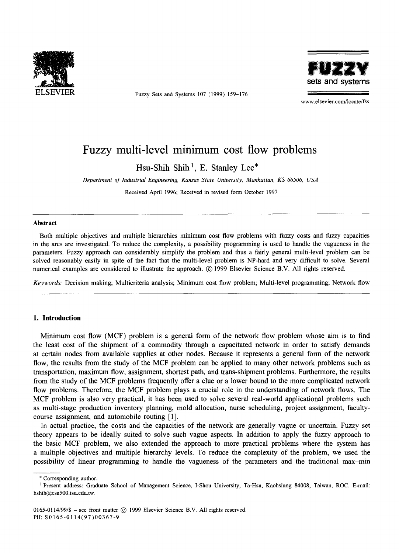

ELSEVIER Fuzzy Sets and Systems 107 (1999) 159-176



www.elsevier.com/locate/fss

# **Fuzzy multi-level minimum cost flow problems**

Hsu-Shih Shih<sup>1</sup>, E. Stanley Lee\*

Department of Industrial Engineering, Kansas State University, Manhattan, KS 66506, USA

Received April 1996; Received in revised form October 1997

#### **Abstract**

Both multiple objectives and multiple hierarchies minimum cost flow problems with fuzzy costs and fuzzy capacities in the arcs are investigated. To reduce the complexity, a possibility programming is used to handle the vagueness in the parameters. Fuzzy approach can considerably simplify the problem and thus a fairly general multi-level problem can be solved reasonably easily in spite of the fact that the multi-level problem is NP-hard and very difficult to solve. Several numerical examples are considered to illustrate the approach. © 1999 Elsevier Science B.V. All rights reserved.

*Keywords."* Decision making; Multicriteria analysis; Minimum cost flow problem; Multi-level programming; Network flow

## **1. Introduction**

Minimum cost flow (MCF) problem is a general form of the network flow problem whose aim is to find the least cost of the shipment of a commodity through a capacitated network in order to satisfy demands at certain nodes from available supplies at other nodes. Because it represents a general form of the network flow, the results from the study of the MCF problem can be applied to many other network problems such as transportation, maximum flow, assignment, shortest path, and trans-shipment problems. Furthermore, the results from the study of the MCF problems frequently offer a clue or a lower bound to the more complicated network flow problems. Therefore, the MCF problem plays a crucial role in the understanding of network flows. The MCF problem is also very practical, it has been used to solve several real-world applicational problems such as multi-stage production inventory planning, mold allocation, nurse scheduling, project assignment, facultycourse assignment, and automobile routing [1].

In actual practice, the costs and the capacities of the network are generally vague or uncertain. Fuzzy set theory appears to be ideally suited to solve such vague aspects. In addition to apply the fiazzy approach to the basic MCF problem, we also extended the approach to more practical problems where the system has a multiple objectives and multiple hierarchy levels. To reduce the complexity of the problem, we used the possibility of linear programming to handle the vagueness of the parameters and the traditional max-min

<sup>\*</sup> Corresponding author.

<sup>1</sup> Present address: Graduate School of Management Science, I-Shou University, Ta-Hsu, Kaohsiung 84008, Taiwan, ROC. E-mail: hshih@csa500.isu.edu.tw.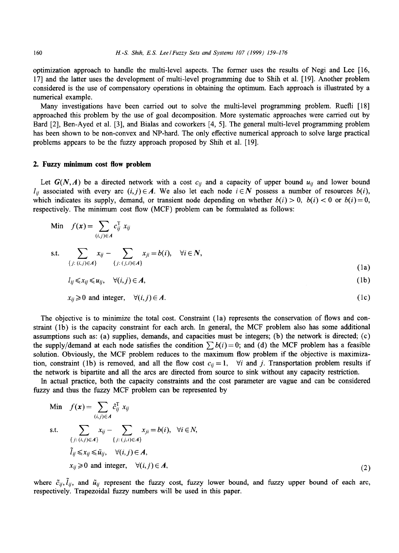optimization approach to handle the multi-level aspects. The former uses the results of Negi and Lee [16, 17] and the latter uses the development of multi-level programming due to Shih et al. [19]. Another problem considered is the use of compensatory operations in obtaining the optimum. Each approach is illustrated by a numerical example.

Many investigations have been carried out to solve the multi-level programming problem. Ruefli [18] approached this problem by the use of goal decomposition. More systematic approaches were carried out by Bard [2], Ben-Ayed et al. [3], and Bialas and coworkers [4, 5]. The general multi-level programming problem has been shown to be non-convex and NP-hard. The only effective numerical approach to solve large practical problems appears to be the fuzzy approach proposed by Shih et al. [19].

# **2. Fuzzy minimum cost flow problem**

Let  $G(N, A)$  be a directed network with a cost  $c_{ij}$  and a capacity of upper bound  $u_{ij}$  and lower bound  $l_{ii}$  associated with every arc  $(i, j) \in A$ . We also let each node  $i \in N$  possess a number of resources  $b(i)$ , which indicates its supply, demand, or transient node depending on whether  $b(i) > 0$ ,  $b(i) < 0$  or  $b(i) = 0$ , respectively. The minimum cost flow (MCF) problem can be formulated as follows:

Min 
$$
f(\mathbf{x}) = \sum_{(i,j)\in A} c_{ij}^{\mathsf{T}} x_{ij}
$$
  
s.t. 
$$
\sum_{\{j:(i,j)\in A\}} x_{ij} - \sum_{\{j:(j,i)\in A\}} x_{ji} = b(i), \quad \forall i \in \mathbb{N},
$$
 (1a)

$$
l_{ij} \leq x_{ij} \leq u_{ij}, \quad \forall (i, j) \in A,
$$
\n
$$
(1b)
$$

$$
x_{ij} \geq 0 \text{ and integer}, \quad \forall (i, j) \in A. \tag{1c}
$$

The objective is to minimize the total cost. Constraint (la) represents the conservation of flows and constraint (lb) is the capacity constraint for each arch. In general, the MCF problem also has some additional assumptions such as: (a) supplies, demands, and capacities must be integers; (b) the network is directed; (c) the supply/demand at each node satisfies the condition  $\sum b(i)=0$ ; and (d) the MCF problem has a feasible solution. Obviously, the MCF problem reduces to the maximum flow problem if the objective is maximization, constraint (1b) is removed, and all the flow cost  $c_{ij} = 1$ ,  $\forall i$  and j. Transportation problem results if the network is bipartite and all the arcs are directed from source to sink without any capacity restriction.

In actual practice, both the capacity constraints and the cost parameter are vague and can be considered fuzzy and thus the fuzzy MCF problem can be represented by

Min 
$$
f(\mathbf{x}) = \sum_{(i,j)\in A} \tilde{c}_{ij}^T x_{ij}
$$
  
s.t. 
$$
\sum_{\{j: (i,j)\in A\}} x_{ij} - \sum_{\{j: (j,i)\in A\}} x_{ji} = b(i), \forall i \in N,
$$

$$
\tilde{I}_{ij} \le x_{ij} \le \tilde{u}_{ij}, \forall (i,j) \in A,
$$

$$
x_{ij} \ge 0 \text{ and integer}, \forall (i,j) \in A,
$$
(2)

where  $\tilde{c}_{ij}$ ,  $\tilde{l}_{ij}$ , and  $\tilde{u}_{ij}$  represent the fuzzy cost, fuzzy lower bound, and fuzzy upper bound of each arc, respectively. Trapezoidal fuzzy numbers will be used in this paper.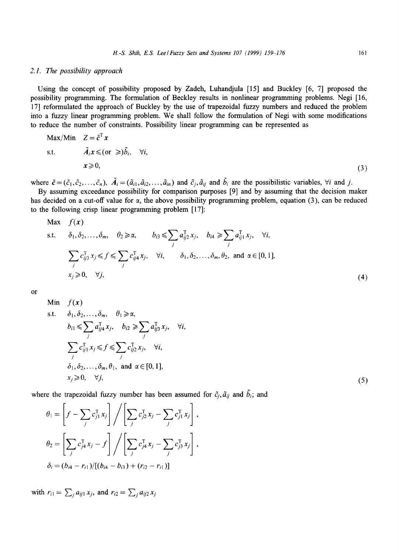# *2.1. The possibility approach*

Using the concept of possibility proposed by Zadeh, Luhandjula [15] and Buckley [6, 7] proposed the possibility programming. The formulation of Beckley results in nonlinear programming problems. Negi [16, 17] reformulated the approach of Buckley by the use of trapezoidal fuzzy numbers and reduced the problem into a fuzzy linear programming problem. We shall follow the formulation of Negi with some modifications to reduce the number of constraints. Possibility linear programming can be represented as

$$
\begin{array}{ll}\n\text{Max}/\text{Min} & Z = \tilde{c}^T x \\
\text{s.t.} & \tilde{A}_i x \leqslant (\text{or } \geqslant) \tilde{b}_i, \quad \forall i, \\
& x \geqslant 0,\n\end{array} \tag{3}
$$

where  $\tilde{c} = (\tilde{c}_1, \tilde{c}_2, \ldots, \tilde{c}_n)$ ,  $\tilde{A}_i = (\tilde{a}_{i1}, \tilde{a}_{i2}, \ldots, \tilde{a}_{in})$  and  $\tilde{c}_j, \tilde{a}_{ij}$  and  $\tilde{b}_i$  are the possibilistic variables,  $\forall i$  and j.

By assuming exceedance possibility for eomparison purposes [9] and by assuming that the decision maker has decided on a cut-off value for  $\alpha$ , the above possibility programming problem, equation (3), can be reduced to the following crisp linear programming problem [17]:

$$
\begin{aligned}\n\text{Max} \quad & f(\mathbf{x}) \\
\text{s.t.} \quad & \delta_1, \delta_2, \dots, \delta_m, \quad \theta_2 \ge \alpha, \qquad b_{i3} \le \sum_j a_{ij}^T x_j, \quad b_{i4} \ge \sum_j a_{ij}^T x_j, \quad \forall i, \\
& \sum_j c_{ij3}^T x_j \le f \le \sum_j c_{ij4}^T x_j, \quad \forall i, \qquad \delta_1, \delta_2, \dots, \delta_m, \theta_2, \text{ and } \alpha \in [0, 1], \\
& x_j \ge 0, \quad \forall j,\n\end{aligned}
$$
\n
$$
(4)
$$

or

Min 
$$
f(x)
$$
  
\ns.t.  $\delta_1, \delta_2, ..., \delta_m, \quad \theta_1 \ge \alpha,$   
\n $b_{i1} \le \sum_j a_{ij4}^T x_j, \quad b_{i2} \ge \sum_j a_{ij3}^T x_j, \quad \forall i,$   
\n $\sum_j c_{ij1}^T x_j \le f \le \sum_j c_{ij2}^T x_j, \quad \forall i,$   
\n $\delta_1, \delta_2, ..., \delta_m, \theta_1, \text{ and } \alpha \in [0, 1],$   
\n $x_j \ge 0, \quad \forall j,$ 

*(5)* 

where the trapezoidal fuzzy number has been assumed for  $\tilde{c}_j$ ,  $\tilde{a}_{ij}$  and  $\tilde{b}_i$ ; and

$$
\theta_1 = \left[ f - \sum_j c_{j1}^{\mathrm{T}} x_j \right] / \left[ \sum_j c_{j2}^{\mathrm{T}} x_j - \sum_j c_{j1}^{\mathrm{T}} x_j \right],
$$
  
\n
$$
\theta_2 = \left[ \sum_j c_{j4}^{\mathrm{T}} x_j - f \right] / \left[ \sum_j c_{j4}^{\mathrm{T}} x_j - \sum_j c_{j3}^{\mathrm{T}} x_j \right],
$$
  
\n
$$
\delta_i = (b_{i4} - r_{i1}) / [(b_{i4} - b_{i3}) + (r_{i2} - r_{i1})]
$$

with  $r_{i1} = \sum_{j} a_{ij1} x_{j}$ , and  $r_{i2} = \sum_{j} a_{ij2} x_{j}$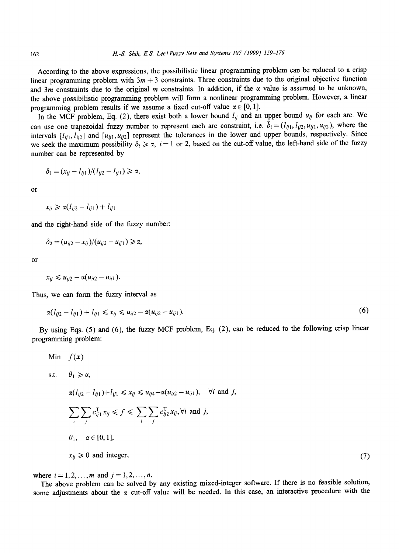According to the above expressions, the possibilistic linear programming problem can be reduced to a crisp linear programming problem with  $3m + 3$  constraints. Three constraints due to the original objective function and 3m constraints due to the original m constraints. In addition, if the  $\alpha$  value is assumed to be unknown, the above possibilistic programming problem will form a nonlinear programming problem. However, a linear programming problem results if we assume a fixed cut-off value  $\alpha \in [0, 1]$ .

In the MCF problem, Eq. (2), there exist both a lower bound  $l_{ij}$  and an upper bound  $u_{ij}$  for each arc. We can use one trapezoidal fuzzy number to represent each arc constraint, i.e.  $\tilde{b}_i = (l_{ij1}, l_{ij2}, u_{ij1}, u_{ij2})$ , where the intervals  $[l_{ij1}, l_{ij2}]$  and  $[u_{ij1}, u_{ij2}]$  represent the tolerances in the lower and upper bounds, respectively. Since we seek the maximum possibility  $\delta_i \ge \alpha$ ,  $i = 1$  or 2, based on the cut-off value, the left-hand side of the fuzzy number can be represented by

$$
\delta_1=(x_{ij}-l_{ij1})/(l_{ij2}-l_{ij1})\geq \alpha,
$$

or

$$
x_{ij} \geq \alpha (l_{ij2} - l_{ij1}) + l_{ij1}
$$

and the right-hand side of the fuzzy number:

$$
\delta_2 = (u_{ij2} - x_{ij})/(u_{ij2} - u_{ij1}) \ge \alpha,
$$

or

$$
x_{ij} \leq u_{ij2} - \alpha (u_{ij2} - u_{ij1}).
$$

Min  $f(x)$ 

Thus, we can form the fuzzy interval as

$$
\alpha(l_{ij2}-l_{ij1})+l_{ij1}\leq x_{ij}\leq u_{ij2}-\alpha(u_{ij2}-u_{ij1}).
$$
\n(6)

By using Eqs. (5) and (6), the fuzzy MCF problem, Eq. (2), can be reduced to the following crisp linear programming problem:

s.t. 
$$
\theta_1 \ge \alpha
$$
,  
\n $\alpha(l_{ij2} - l_{ij1}) + l_{ij1} \le x_{ij} \le u_{ij4} - \alpha(u_{ij2} - u_{ij1}), \quad \forall i \text{ and } j,$   
\n
$$
\sum_i \sum_j c_{ij1}^T x_{ij} \le f \le \sum_i \sum_j c_{ij2}^T x_{ij}, \forall i \text{ and } j,
$$
  
\n $\theta_1, \alpha \in [0, 1],$   
\n $x_{ij} \ge 0$  and integer, (7)

where  $i = 1, 2, ..., m$  and  $j = 1, 2, ..., n$ .

The above problem can be solved by any existing mixed-integer software. If there is no feasible solution, some adjustments about the  $\alpha$  cut-off value will be needed. In this case, an interactive procedure with the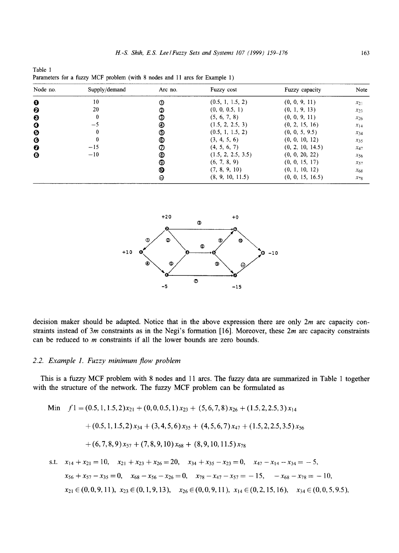| Node no.              | Supply/demand | Arc no. | Fuzzy cost         | Fuzzy capacity   | Note     |
|-----------------------|---------------|---------|--------------------|------------------|----------|
| $\bf{o}$              | 10            | ➀       | (0.5, 1, 1.5, 2)   | (0, 0, 9, 11)    | $x_{21}$ |
| O                     | 20            | ➁       | (0, 0, 0.5, 1)     | (0, 1, 9, 13)    | $x_{23}$ |
| €                     | 0             | ⚾       | (5, 6, 7, 8)       | (0, 0, 9, 11)    | $x_{26}$ |
| $\bullet$             | -5            | ⊚       | (1.5, 2, 2.5, 3)   | (0, 2, 15, 16)   | $x_{14}$ |
| Θ                     | 0             | ⊚       | (0.5, 1, 1.5, 2)   | (0, 0, 5, 9.5)   | $x_{34}$ |
| ❻                     | 0             | ⊕       | (3, 4, 5, 6)       | (0, 0, 10, 12)   | $x_{35}$ |
| O                     | $-15$         | Ø       | (4, 5, 6, 7)       | (0, 2, 10, 14.5) | $x_{47}$ |
| $\boldsymbol{\Theta}$ | $-10$         | ⊛       | (1.5, 2, 2.5, 3.5) | (0, 0, 20, 22)   | $x_{56}$ |
|                       |               | ⊚       | (6, 7, 8, 9)       | (0, 0, 15, 17)   | $x_{57}$ |
|                       |               | စ       | (7, 8, 9, 10)      | (0, 1, 10, 12)   | $x_{68}$ |
|                       |               | ⊕       | (8, 9, 10, 11.5)   | (0, 0, 15, 16.5) | $x_{78}$ |

Table 1 Parameters for a fuzzy MCF problem (with 8 nodes and 11 arcs for Example 1)



decision maker should be adapted. Notice that in the above expression there are only  $2m$  arc capacity constraints instead of  $3m$  constraints as in the Negi's formation [16]. Moreover, these  $2m$  arc capacity constraints can be reduced to m constraints if all the lower bounds are zero bounds.

# *2.2. Example 1. Fuzzy minimum flow problem*

This is a fuzzy MCF problem with 8 nodes and 11 arcs. The fuzzy data are summarized in Table 1 together with the structure of the network. The fuzzy MCF problem can be formulated as

Min 
$$
f_1 = (0.5, 1, 1.5, 2)x_{21} + (0, 0, 0.5, 1)x_{23} + (5, 6, 7, 8)x_{26} + (1.5, 2, 2.5, 3)x_{14}
$$

$$
+ (0.5, 1, 1.5, 2) x_{34} + (3, 4, 5, 6) x_{35} + (4, 5, 6, 7) x_{47} + (1.5, 2, 2.5, 3.5) x_{56}
$$

$$
+(6,7,8,9)x_{57}+(7,8,9,10)x_{68}+(8,9,10,11.5)x_{78}
$$

s.t. 
$$
x_{14} + x_{21} = 10
$$
,  $x_{21} + x_{23} + x_{26} = 20$ ,  $x_{34} + x_{35} - x_{23} = 0$ ,  $x_{47} - x_{14} - x_{34} = -5$ ,  
\n $x_{56} + x_{57} - x_{35} = 0$ ,  $x_{68} - x_{56} - x_{26} = 0$ ,  $x_{78} - x_{47} - x_{57} = -15$ ,  $-x_{68} - x_{78} = -10$ ,  
\n $x_{21} \in (0, 0, 9, 11)$ ,  $x_{23} \in (0, 1, 9, 13)$ ,  $x_{26} \in (0, 0, 9, 11)$ ,  $x_{14} \in (0, 2, 15, 16)$ ,  $x_{34} \in (0, 0, 5, 9.5)$ ,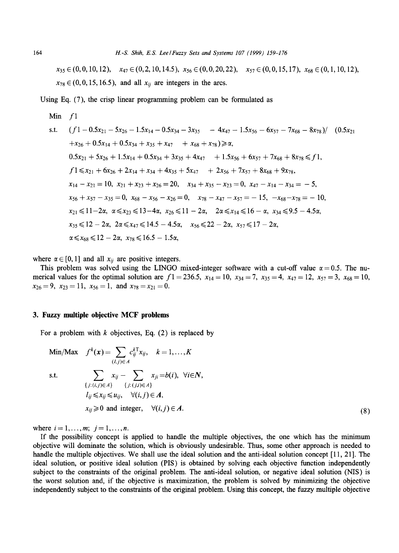$x_{35} \in (0, 0, 10, 12), \quad x_{47} \in (0, 2, 10, 14.5), \quad x_{56} \in (0, 0, 20, 22), \quad x_{57} \in (0, 0, 15, 17), \quad x_{68} \in (0, 1, 10, 12),$  $x_{78} \in (0, 0, 15, 16.5)$ , and all  $x_{ij}$  are integers in the arcs.

Using Eq. (7), the crisp linear programming problem can be formulated as

Min f1  
\ns.t. 
$$
(f1 - 0.5x_{21} - 5x_{26} - 1.5x_{14} - 0.5x_{34} - 3x_{35} - 4x_{47} - 1.5x_{56} - 6x_{57} - 7x_{68} - 8x_{78})/ (0.5x_{21} + x_{26} + 0.5x_{14} + 0.5x_{34} + x_{35} + x_{47} + x_{68} + x_{78}) \ge \alpha
$$
,  
\n $0.5x_{21} + 5x_{26} + 1.5x_{14} + 0.5x_{34} + 3x_{35} + 4x_{47} + 1.5x_{56} + 6x_{57} + 7x_{68} + 8x_{78} \le f1$ ,  
\n $f1 \le x_{21} + 6x_{26} + 2x_{14} + x_{34} + 4x_{35} + 5x_{47} + 2x_{56} + 7x_{57} + 8x_{68} + 9x_{78}$ ,  
\n $x_{14} - x_{21} = 10$ ,  $x_{21} + x_{23} + x_{26} = 20$ ,  $x_{34} + x_{35} - x_{23} = 0$ ,  $x_{47} - x_{14} - x_{34} = -5$ ,  
\n $x_{56} + x_{57} - x_{35} = 0$ ,  $x_{68} - x_{56} - x_{26} = 0$ ,  $x_{78} - x_{47} - x_{57} = -15$ ,  $-x_{68} - x_{78} = -10$ ,  
\n $x_{21} \le 11 - 2\alpha$ ,  $\alpha \le x_{23} \le 13 - 4\alpha$ ,  $x_{26} \le 11 - 2\alpha$ ,  $2\alpha \le x_{14} \le 16 - \alpha$ ,  $x_{34} \le 9.5 - 4.5\alpha$ ,  
\n $x_{35} \le 12 - 2\alpha$ ,  $2\alpha \le x_{47} \le 14.5 - 4.5\alpha$ ,  $x_{56} \le 22 - 2\alpha$ ,  $x_{57} \le 17 - 2\alpha$ ,

where  $\alpha \in [0, 1]$  and all  $x_{ij}$  are positive integers.

This problem was solved using the LINGO mixed-integer software with a cut-off value  $\alpha = 0.5$ . The numerical values for the optimal solution are  $f_1 = 236.5$ ,  $x_{14} = 10$ ,  $x_{34} = 7$ ,  $x_{35} = 4$ ,  $x_{47} = 12$ ,  $x_{57} = 3$ ,  $x_{68} = 10$ ,  $x_{26} = 9$ ,  $x_{23} = 11$ ,  $x_{56} = 1$ , and  $x_{78} = x_{21} = 0$ .

# **3. Fuzzy multiple objective MCF problems**

For a problem with  $k$  objectives, Eq. (2) is replaced by

Min/Max 
$$
f^k(x) = \sum_{(l,j)\in A} c_{ij}^{kT} x_{ij}
$$
,  $k = 1,..., K$   
s.t. 
$$
\sum_{\{j:(i,j)\in A\}} x_{ij} - \sum_{\{j:(j,j)\in A\}} x_{ji} = b(i), \forall i \in \mathbb{N},
$$

$$
l_{ij} \le x_{ij} \le u_{ij}, \quad \forall (i,j) \in A,
$$

$$
x_{ij} \ge 0 \text{ and integer}, \quad \forall (i,j) \in A.
$$

$$
(8)
$$

where  $i=1,\ldots,m; j=1,\ldots,n$ .

If the possibility concept is applied to handle the multiple objectives, the one which has the minimum objective will dominate the solution, which is obviously undesirable. Thus, some other approach is needed to handle the multiple objectives. We shall use the ideal solution and the anti-ideal solution concept [11, 21]. The ideal solution, or positive ideal solution (PIS) is obtained by solving each objective function independently subject to the constraints of the original problem. The anti-ideal solution, or negative ideal solution (NIS) is the worst solution and, if the objective is maximization, the problem is solved by minimizing the objective independently subject to the constraints of the original problem. Using this concept, the fuzzy multiple objective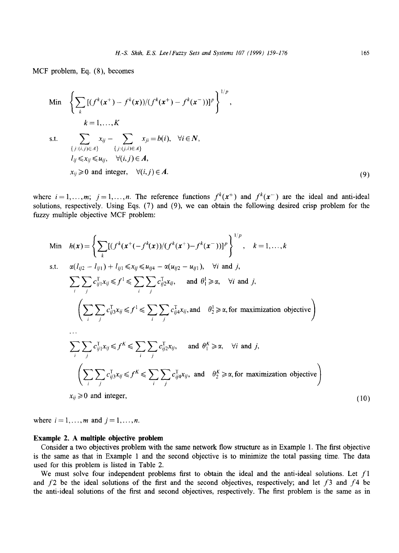MCF problem, Eq. (8), becomes

Min 
$$
\left\{ \sum_{k} [(f^{k}(x^{+}) - f^{k}(x))/(f^{k}(x^{+}) - f^{k}(x^{-}))]^{p} \right\}^{1/p},
$$
  
\n*k* = 1,...,*K*  
\ns.t. 
$$
\sum_{\{j:(i,j)\in A\}} x_{ij} - \sum_{\{j:(j,i)\in A\}} x_{ji} = b(i), \quad \forall i \in \mathbb{N},
$$
  
\n $l_{ij} \le x_{ij} \le u_{ij}, \quad \forall (i,j) \in A,$   
\n $x_{ij} \ge 0$  and integer,  $\forall (i,j) \in A$ . (9)

where  $i = 1, \ldots, m; j = 1, \ldots, n$ . The reference functions  $f^k(x^+)$  and  $f^k(x^-)$  are the ideal and anti-ideal solutions, respectively. Using Eqs. (7) and (9), we can obtain the following desired crisp problem for the fuzzy multiple objective MCF problem:

Min 
$$
h(\mathbf{x}) = \left\{ \sum_{k} [(f^{k}(\mathbf{x}^{+}(-f^{k}(\mathbf{x}))/(f^{k}(\mathbf{x}^{+})-f^{k}(\mathbf{x}^{-}))]^{p} \right\}^{1/p}
$$
,  $k = 1,...,k$   
\ns.t.  $\alpha(I_{ij2} - I_{ij1}) + I_{ij1} \le x_{ij} \le u_{ij4} - \alpha(u_{ij2} - u_{ij1}), \forall i \text{ and } j,$   
\n
$$
\sum_{i} \sum_{j} c_{ij1}^{T} x_{ij} \le f^{1} \le \sum_{i} \sum_{j} c_{ij2}^{T} x_{ij}, \text{ and } \theta_{1}^{1} \ge \alpha, \forall i \text{ and } j,
$$
  
\n
$$
\left( \sum_{i} \sum_{j} c_{ij3}^{T} x_{ij} \le f^{1} \le \sum_{i} \sum_{j} c_{ij4}^{T} x_{ij}, \text{and } \theta_{2}^{1} \ge \alpha, \text{ for maximization objective} \right)
$$
  
\n...  
\n
$$
\sum_{i} \sum_{j} c_{ij1}^{T} x_{ij} \le f^{k} \le \sum_{i} \sum_{j} c_{ij2}^{T} x_{ij}, \text{ and } \theta_{1}^{k} \ge \alpha, \forall i \text{ and } j,
$$
  
\n
$$
\left( \sum_{i} \sum_{j} c_{ij3}^{T} x_{ij} \le f^{k} \le \sum_{i} \sum_{j} c_{ij4}^{T} x_{ij}, \text{ and } \theta_{2}^{k} \ge \alpha, \text{ for maximization objective} \right)
$$
  
\n
$$
x_{ij} \ge 0 \text{ and integer}, \text{ (10)}
$$

where  $i = 1, \ldots, m$  and  $j = 1, \ldots, n$ .

#### **Example 2. A multiple objective problem**

Consider a two objectives problem with the same network flow structure as in Example 1. The first objective is the same as that in Example 1 and the second objective is to minimize the total passing time. The data used for this problem is listed in Table 2.

We must solve four independent problems first to obtain the ideal and the anti-ideal solutions. Let  $f_1$ and  $f2$  be the ideal solutions of the first and the second objectives, respectively; and let  $f3$  and  $f4$  be the anti-ideal solutions of the first and second objectives, respectively. The first problem is the same as in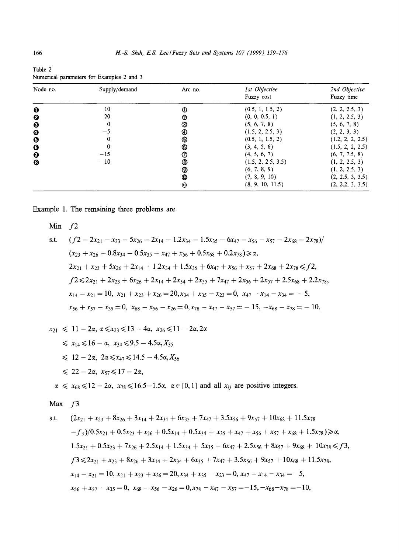| Node no.              | Supply/demand | Arc no. | 1st Objective<br>Fuzzy cost | 2nd Objective<br>Fuzzy time |
|-----------------------|---------------|---------|-----------------------------|-----------------------------|
| $\bf{o}$              | 10            | ➀       | (0.5, 1, 1.5, 2)            | (2, 2, 2.5, 3)              |
| ❷                     | 20            | ℗       | (0, 0, 0.5, 1)              | (1, 2, 2.5, 3)              |
| €                     | $\bf{0}$      | ☺       | (5, 6, 7, 8)                | (5, 6, 7, 8)                |
| $\boldsymbol{\Theta}$ | $-5$          | ◉       | (1.5, 2, 2.5, 3)            | (2, 2, 3, 3)                |
| Θ                     | $\bf{0}$      | ⊕       | (0.5, 1, 1.5, 2)            | (1.2, 2, 2, 2.5)            |
| $\bullet$             | $\bf{0}$      | ⊕       | (3, 4, 5, 6)                | (1.5, 2, 2, 2.5)            |
| $\boldsymbol{O}$      | $-15$         | စ       | (4, 5, 6, 7)                | (6, 7, 7.5, 8)              |
| 0                     | $-10$         | ℗       | (1.5, 2, 2.5, 3.5)          | (1, 2, 2.5, 3)              |
|                       |               | ⊚       | (6, 7, 8, 9)                | (1, 2, 2.5, 3)              |
|                       |               | ଷ       | (7, 8, 9, 10)               | (2, 2.5, 3, 3.5)            |
|                       |               | ⊕       | (8, 9, 10, 11.5)            | (2, 2.2, 3, 3.5)            |

| Table 2                                   |  |  |  |
|-------------------------------------------|--|--|--|
| Numerical parameters for Examples 2 and 3 |  |  |  |

Example 1. The remaining three problems are

Min  $f2$ 

s.t. 
$$
(f2 - 2x_{21} - x_{23} - 5x_{26} - 2x_{14} - 1.2x_{34} - 1.5x_{35} - 6x_{47} - x_{56} - x_{57} - 2x_{68} - 2x_{78})/
$$
  
\n $(x_{23} + x_{26} + 0.8x_{34} + 0.5x_{35} + x_{47} + x_{56} + 0.5x_{68} + 0.2x_{78}) \ge \alpha,$   
\n $2x_{21} + x_{23} + 5x_{26} + 2x_{14} + 1.2x_{34} + 1.5x_{35} + 6x_{47} + x_{56} + x_{57} + 2x_{68} + 2x_{78} \le f2,$   
\n $f2 \le 2x_{21} + 2x_{23} + 6x_{26} + 2x_{14} + 2x_{34} + 2x_{35} + 7x_{47} + 2x_{56} + 2x_{57} + 2.5x_{68} + 2.2x_{78},$   
\n $x_{14} - x_{21} = 10$ ,  $x_{21} + x_{23} + x_{26} = 20$ ,  $x_{34} + x_{35} - x_{23} = 0$ ,  $x_{47} - x_{14} - x_{34} = -5$ ,  
\n $x_{56} + x_{57} - x_{35} = 0$ ,  $x_{68} - x_{56} - x_{26} = 0$ ,  $x_{78} - x_{47} - x_{57} = -15$ ,  $-x_{68} - x_{78} = -10$ ,

$$
x_{21} \le 11 - 2\alpha, \ \alpha \le x_{23} \le 13 - 4\alpha, \ \ x_{26} \le 11 - 2\alpha, 2\alpha
$$
  
\n
$$
\le x_{14} \le 16 - \alpha, \ \ x_{34} \le 9.5 - 4.5\alpha, X_{35}
$$
  
\n
$$
\le 12 - 2\alpha, \ \ 2\alpha \le x_{47} \le 14.5 - 4.5\alpha, X_{56}
$$
  
\n
$$
\le 22 - 2\alpha, \ \ x_{57} \le 17 - 2\alpha,
$$
  
\n
$$
\alpha \le x_{68} \le 12 - 2\alpha, \ \ x_{78} \le 16.5 - 1.5\alpha, \ \alpha \in [0, 1] \text{ and all } x_{ij} \text{ are positive integers.}
$$

Max  $f_3$ 

s.t. 
$$
(2x_{21} + x_{23} + 8x_{26} + 3x_{14} + 2x_{34} + 6x_{35} + 7x_{47} + 3.5x_{56} + 9x_{57} + 10x_{68} + 11.5x_{78} - f_3)/0.5x_{21} + 0.5x_{23} + x_{26} + 0.5x_{14} + 0.5x_{34} + x_{35} + x_{47} + x_{56} + x_{57} + x_{68} + 1.5x_{78}) \ge \alpha,
$$
  
\n
$$
1.5x_{21} + 0.5x_{23} + 7x_{26} + 2.5x_{14} + 1.5x_{34} + 5x_{35} + 6x_{47} + 2.5x_{56} + 8x_{57} + 9x_{68} + 10x_{78} \le f3,
$$
  
\n
$$
f3 \le 2x_{21} + x_{23} + 8x_{26} + 3x_{14} + 2x_{34} + 6x_{35} + 7x_{47} + 3.5x_{56} + 9x_{57} + 10x_{68} + 11.5x_{78},
$$
  
\n
$$
x_{14} - x_{21} = 10, x_{21} + x_{23} + x_{26} = 20, x_{34} + x_{35} - x_{23} = 0, x_{47} - x_{14} - x_{34} = -5,
$$
  
\n
$$
x_{56} + x_{57} - x_{35} = 0, x_{68} - x_{56} - x_{26} = 0, x_{78} - x_{47} - x_{57} = -15, -x_{68} - x_{78} = -10,
$$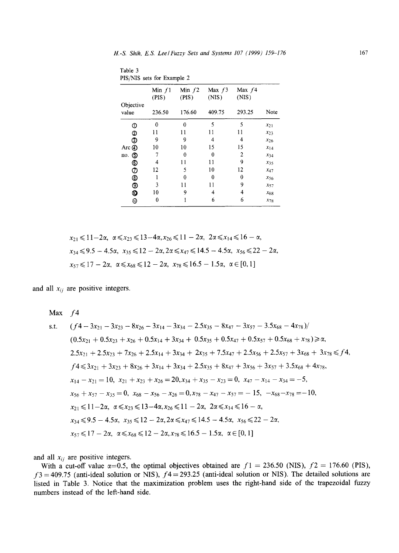| Table 3 |  |                            |  |
|---------|--|----------------------------|--|
|         |  | PIS/NIS sets for Example 2 |  |

|                    | Min $f1$<br>(PIS) | Min $f2$<br>(PIS) | Max $f3$<br>(NIS) | Max $f4$<br>(NIS) |          |
|--------------------|-------------------|-------------------|-------------------|-------------------|----------|
| Objective<br>value | 236.50            | 176.60            | 409.75            | 293.25            | Note     |
| ➀                  | 0                 | 0                 | 5                 | 5                 | $x_{21}$ |
| ➁                  | 11                | 11                | 11                | 11                | $x_{23}$ |
| ⊚                  | 9                 | 9                 | 4                 | 4                 | $x_{26}$ |
| Arc $\left($ 4)    | 10                | 10                | 15                | 15                | $x_{14}$ |
| ⊚<br>no.           | 7                 | 0                 | 0                 | 2                 | $x_{34}$ |
| ⊕                  | 4                 | 11                | 11                | 9                 | $x_{35}$ |
| Ø                  | 12                | 5                 | 10                | 12                | $x_{47}$ |
| ◉                  |                   | ∩                 | 0                 | 0                 | $x_{56}$ |
| ⊚                  | 3                 | 11                | 11                | 9                 | $x_{57}$ |
| 0                  | 10                | 9                 | 4                 | 4                 | $x_{68}$ |
| ⊚                  | 0                 |                   | 6                 | 6                 | $x_{78}$ |

$$
x_{21} \le 11 - 2\alpha, \ \alpha \le x_{23} \le 13 - 4\alpha, x_{26} \le 11 - 2\alpha, \ 2\alpha \le x_{14} \le 16 - \alpha,
$$
  

$$
x_{34} \le 9.5 - 4.5\alpha, \ x_{35} \le 12 - 2\alpha, 2\alpha \le x_{47} \le 14.5 - 4.5\alpha, \ x_{56} \le 22 - 2\alpha,
$$
  

$$
x_{57} \le 17 - 2\alpha, \ \alpha \le x_{68} \le 12 - 2\alpha, \ x_{78} \le 16.5 - 1.5\alpha, \ \alpha \in [0, 1]
$$

and all  $x_{ij}$  are positive integers.

Max *1*4

s.t. 
$$
(f4 - 3x_{21} - 3x_{23} - 8x_{26} - 3x_{14} - 3x_{34} - 2.5x_{35} - 8x_{47} - 3x_{57} - 3.5x_{68} - 4x_{78})/
$$
  
\n $(0.5x_{21} + 0.5x_{23} + x_{26} + 0.5x_{14} + 3x_{34} + 0.5x_{35} + 0.5x_{47} + 0.5x_{57} + 0.5x_{68} + x_{78}) \ge \alpha$ ,  
\n $2.5x_{21} + 2.5x_{23} + 7x_{26} + 2.5x_{14} + 3x_{34} + 2x_{35} + 7.5x_{47} + 2.5x_{56} + 2.5x_{57} + 3x_{68} + 3x_{78} \le f4$ ,  
\n $f4 \le 3x_{21} + 3x_{23} + 8x_{26} + 3x_{14} + 3x_{34} + 2.5x_{35} + 8x_{47} + 3x_{56} + 3x_{57} + 3.5x_{68} + 4x_{78}$ ,  
\n $x_{14} - x_{21} = 10$ ,  $x_{21} + x_{23} + x_{26} = 20$ ,  $x_{34} + x_{35} - x_{23} = 0$ ,  $x_{47} - x_{14} - x_{34} = -5$ ,  
\n $x_{56} + x_{57} - x_{35} = 0$ ,  $x_{68} - x_{56} - x_{26} = 0$ ,  $x_{78} - x_{47} - x_{57} = -15$ ,  $-x_{68} - x_{78} = -10$ ,  
\n $x_{21} \le 11 - 2\alpha$ ,  $\alpha \le x_{23} \le 13 - 4\alpha$ ,  $x_{26} \le 11 - 2\alpha$ ,  $2\alpha \le x_{14} \le 16 - \alpha$ ,  
\n $x_{34} \le 9.5 - 4.5\alpha$ ,  $x_{35} \le 12 - 2\alpha$ ,  $2\alpha \le x_{47}$ 

and all  $x_{ij}$  are positive integers.

With a cut-off value  $\alpha$ =0.5, the optimal objectives obtained are  $f1 = 236.50$  (NIS),  $f2 = 176.60$  (PIS),  $f3 = 409.75$  (anti-ideal solution or NIS),  $f4 = 293.25$  (anti-ideal solution or NIS). The detailed solutions are listed in Table 3. Notice that the maximization problem uses the right-hand side of the trapezoidal fuzzy numbers instead of the left-hand side.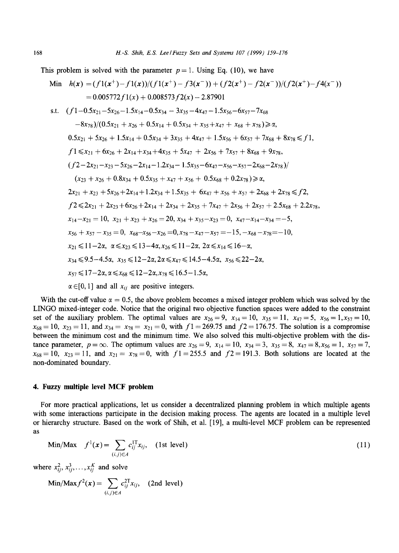$\sim 100$ 

This problem is solved with the parameter  $p = 1$ . Using Eq. (10), we have

Min 
$$
h(x) = (f1(x^+)-f1(x))/(f1(x^+)-f3(x^-)) + (f2(x^+)-f2(x^+))/f2(x^+)-f4(x^-))
$$
  
\n= 0.005772f1(x) + 0.008573f2(x) - 2.87901  
\n  
\n  
\n
$$
= 0.005772f1(x) + 0.008573f2(x) - 2.87901
$$
\n  
\n
$$
= 0.05772f1(x) + 0.008573f2(x) - 2.87901
$$
\n  
\n
$$
= 0.05772f1(x) + 0.008573f2(x) - 2.87901
$$
\n  
\n
$$
= 0.05772f1(x) + 0.008573f2(x) - 2.87901
$$
\n  
\n
$$
= 0.05721 - 5x_{26} - 1.5x_{14} - 0.5x_{34} - 3x_{35} - 4x_{47} - 1.5x_{56} - 6x_{57} - 7x_{68}
$$
\n  
\n
$$
= 0.05x_{21} + 5x_{26} + 1.5x_{14} + 0.5x_{34} + 3x_{35} + 4x_{47} + 1.5x_{56} + 6x_{57} + 7x_{68} + 8x_{78} \le f1
$$
\n  
\n
$$
f1 \le x_{21} + 6x_{26} + 2x_{14} + x_{34} + 4x_{35} + 5x_{47} + 2x_{56} + 7x_{57} + 8x_{68} + 9x_{78}
$$
\n  
\n
$$
= (f2 - 2x_{21} - x_{23} - 5x_{26} - 2x_{14} + 3x_{35} + 4x_{47} + 2x_{56} + 7x_{57} + 7x_{68} + 8x_{78} \le f1
$$
\n  
\n
$$
f1 \le x_{21} + 2x_{23} - 5x_{26} - 2x_{14} - 1.2x_{34} - 1.5x_{35} - 6x_{47} - x_{56} -
$$

With the cut-off value  $\alpha = 0.5$ , the above problem becomes a mixed integer problem which was solved by the **LINGO** mixed-integer code. Notice that the original two objective function spaces were added to the constraint set of the auxiliary problem. The optimal values are  $x_{26} = 9$ ,  $x_{14} = 10$ ,  $x_{35} = 11$ ,  $x_{47} = 5$ ,  $x_{56} = 1$ ,  $x_{57} = 10$ ,  $x_{68} = 10$ ,  $x_{23} = 11$ , and  $x_{34} = x_{78} = x_{21} = 0$ , with  $f1 = 269.75$  and  $f2 = 176.75$ . The solution is a compromise between the minimum cost and the minimum time. We also solved this multi-objective problem with the distance parameter,  $p = \infty$ . The optimum values are  $x_{26} = 9$ ,  $x_{14} = 10$ ,  $x_{34} = 3$ ,  $x_{35} = 8$ ,  $x_{47} = 8$ ,  $x_{56} = 1$ ,  $x_{57} = 7$ ,  $x_{68}=10$ ,  $x_{23}=11$ , and  $x_{21} = x_{78}=0$ , with  $f1 = 255.5$  and  $f2 = 191.3$ . Both solutions are located at the non-dominated boundary.

#### **4. Fuzzy multiple level MCF problem**

For more practical applications, let us consider a decentralized planning problem in which multiple agents with some interactions participate in the decision making process. The agents are located in a multiple level or hierarchy structure. Based on the work of Shih, et al. [19], a multi-level MCF problem can be represented as

$$
\text{Min}/\text{Max} \quad f^1(\mathbf{x}) = \sum_{(i,j)\in A} c_{ij}^{1T} x_{ij}, \quad \text{(1st level)} \tag{11}
$$

where  $x_{ij}^2, x_{ij}^3, \ldots, x_{ij}^K$  and solve

Min/Max 
$$
f^2(x)
$$
 =  $\sum_{(i,j)\in A} c_{ij}^{2T} x_{ij}$ , (2nd level)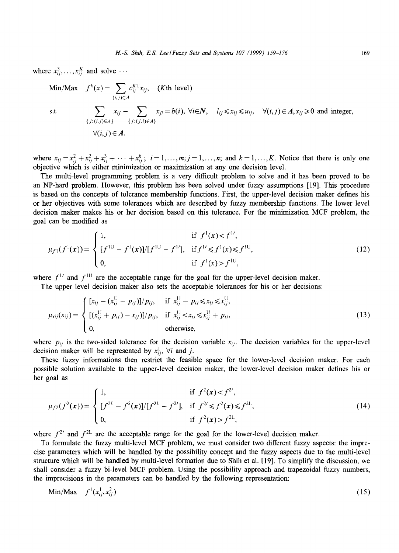where  $x_{ij}^3, \ldots, x_{ij}^K$  and solve  $\cdots$ 

Min/Max 
$$
f^k(x) = \sum_{(i,j)\in A} c_{ij}^{KT} x_{ij}
$$
, *(Kth level)*  
s.t. 
$$
\sum_{\{j:(i,j)\in A\}} x_{ij} - \sum_{\{j:(j,i)\in A\}} x_{ji} = b(i), \forall i \in N, \quad l_{ij} \le x_{ij} \le u_{ij}, \quad \forall (i,j) \in A, x_{ij} \ge 0 \text{ and integer,}
$$

$$
\forall (i,j) \in A.
$$

where  $x_{ij} = x_{ij}^2 + x_{ij}^2 + x_{ij}^3 + \cdots + x_{ij}^k$ ;  $i = 1, ..., m; j = 1, ..., n$ ; and  $k = 1, ..., K$ . Notice that there is only one objective which is either minimization or maximization at any one decision level.

The multi-level programming problem is a very difficult problem to solve and it has been proved to be an NP-hard problem. However, this problem has been solved under fuzzy assumptions [19]. This procedure is based on the concepts of tolerance membership functions. First, the upper-level decision maker defines his or her objectives with some tolerances which are described by fuzzy membership functions. The lower level decision maker makes his or her decision based on this tolerance. For the minimization MCF problem, the goal can be modified as

$$
\mu_{f1}(f^{1}(\mathbf{x})) = \begin{cases} 1, & \text{if } f^{1}(\mathbf{x}) < f^{1'}, \\ [f^{10} - f^{1}(\mathbf{x})]/[f^{10} - f^{1'}], & \text{if } f^{1'} \leq f^{1}(\mathbf{x}) \leq f^{10}, \\ 0, & \text{if } f^{1}(\mathbf{x}) > f^{10}, \end{cases}
$$
(12)

where  $f^{\perp}$  and  $f^{\perp}$  are the acceptable range for the goal for the upper-level decision maker.

The upper level decision maker also sets the acceptable tolerances for his or her decisions:

$$
\mu_{xij}(x_{ij}) = \begin{cases}\n[x_{ij} - (x_{ij}^U - p_{ij})]/p_{ij}, & \text{if } x_{ij}^U - p_{ij} \le x_{ij} \le x_{ij}^U, \\
[(x_{ij}^U + p_{ij}) - x_{ij})]/p_{ij}, & \text{if } x_{ij}^U < x_{ij} \le x_{ij}^U + p_{ij}, \\
0, & \text{otherwise,} \n\end{cases}
$$
\n(13)

where  $p_{ij}$  is the two-sided tolerance for the decision variable  $x_{ij}$ . The decision variables for the upper-level decision maker will be represented by  $x_{ij}^1$ ,  $\forall i$  and j.

These fuzzy informations then restrict the feasible space for the lower-level decision maker. For each possible solution available to the upper-level decision maker, the lower-level decision maker defines his or her goal as

$$
\mu_{f2}(f^2(\mathbf{x})) = \begin{cases} 1, & \text{if } f^2(\mathbf{x}) < f^{2\prime}, \\ [f^{2L} - f^2(\mathbf{x})]/[f^{2L} - f^{2\prime}], & \text{if } f^{2\prime} \le f^2(\mathbf{x}) \le f^{2L}, \\ 0, & \text{if } f^2(\mathbf{x}) > f^{2L}, \end{cases} \tag{14}
$$

where  $f^{2}$  and  $f^{2L}$  are the acceptable range for the goal for the lower-level decision maker.

To formulate the fuzzy multi-level MCF problem, we must consider two different fuzzy aspects: the imprecise parameters which will be handled by the possibility concept and the fuzzy aspects due to the multi-level structure which will be handled by multi-level formation due to Shih et al. [19]. To simplify the discussion, we shall consider a fuzzy bi-level MCF problem. Using the possibility approach and trapezoidal fuzzy numbers, the imprecisions in the parameters can be handled by the following representation:

$$
\text{Min}/\text{Max} \quad f^1(x_{ij}^1, x_{ij}^2) \tag{15}
$$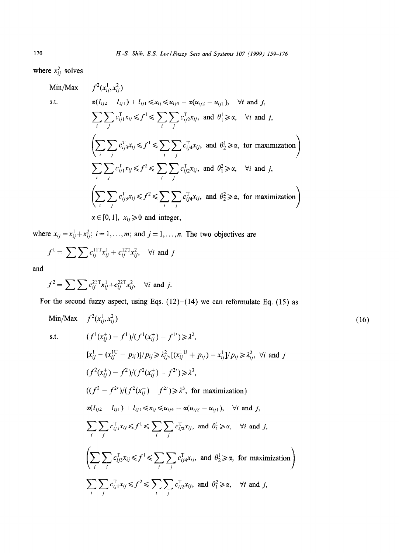where  $x_{ij}^2$  solves

Min/Max 
$$
f^2(x_{ij}^1, x_{ij}^2)
$$
  
\ns.t.  $\alpha(I_{ij2} - I_{ij1}) + I_{ij1} \le x_{ij} \le u_{ij4} - \alpha(u_{ij2} - u_{ij1}), \forall i$  and j,  
\n
$$
\sum_i \sum_j c_{ij1}^T x_{ij} \le f^1 \le \sum_i \sum_j c_{ij2}^T x_{ij}, \text{ and } \theta_i^1 \ge \alpha, \forall i
$$
 and j,  
\n
$$
\left(\sum_i \sum_j c_{ij3}^T x_{ij} \le f^1 \le \sum_i \sum_j c_{ij4}^T x_{ij}, \text{ and } \theta_i^1 \ge \alpha, \text{ for maximization}\right)
$$
\n
$$
\sum_i \sum_j c_{ij1}^T x_{ij} \le f^2 \le \sum_i \sum_j c_{ij2}^T x_{ij}, \text{ and } \theta_i^2 \ge \alpha, \forall i
$$
 and j,  
\n
$$
\left(\sum_i \sum_j c_{ij3}^T x_{ij} \le f^2 \le \sum_i \sum_j c_{ij4}^T x_{ij}, \text{ and } \theta_i^2 \ge \alpha, \text{ for maximization}\right)
$$
  
\n $\alpha \in [0, 1], x_{ij} \ge 0$  and integer,

where  $x_{ij} = x_{ij}^1 + x_{ij}^2$ ;  $i = 1,...,m$ ; and  $j = 1,...,n$ . The two objectives are

$$
f^{1} = \sum \sum c_{ij}^{11T} x_{ij}^{1} + c_{ij}^{12T} x_{ij}^{2}, \quad \forall i \text{ and } j
$$

and

$$
f^{2} = \sum \sum c_{ij}^{21} x_{ij}^{1} + c_{ij}^{22} x_{ij}^{2}, \quad \forall i \text{ and } j.
$$

For the second fuzzy aspect, using Eqs.  $(12)-(14)$  we can reformulate Eq.  $(15)$  as

$$
\text{Min}/\text{Max} \quad f^2(x_{ij}^1, x_{ij}^2) \tag{16}
$$

s.t. 
$$
(f'(x_{ij}^{+}) - f'')/(f'(x_{ij}^{+}) - f''') \geq \lambda^{2},
$$

$$
[x_{ij}^{1} - (x_{ij}^{1U} - p_{ij})]/p_{ij} \geq \lambda_{ij}^{2}, [(x_{ij}^{1U} + p_{ij}) - x_{ij}^{1}]/p_{ij} \geq \lambda_{ij}^{2}, \forall i \text{ and } j
$$

$$
(f^{2}(x_{ij}^{+}) - f^{2})/(f^{2}(x_{ij}^{+}) - f^{2}) \geq \lambda^{3},
$$

$$
((f^{2} - f^{2}))/(f^{2}(x_{ij}^{+}) - f^{2}) \geq \lambda^{3}, \text{ for maximization)}
$$

$$
\alpha(I_{ij2} - l_{ij1}) + l_{ij1} \leq x_{ij} \leq u_{ij4} - \alpha(u_{ij2} - u_{ij1}), \forall i \text{ and } j,
$$

$$
\sum_{i} \sum_{j} c_{ij1}^{T} x_{ij} \leq f^{1} \leq \sum_{i} \sum_{j} c_{ij2}^{T} x_{ij}, \text{ and } \theta_{i}^{1} \geq \alpha, \forall i \text{ and } j,
$$

$$
\left(\sum_{i} \sum_{j} c_{ij3}^{T} x_{ij} \leq f^{1} \leq \sum_{i} \sum_{j} c_{ij4}^{T} x_{ij}, \text{ and } \theta_{2}^{1} \geq \alpha, \text{ for maximization}\right)
$$

$$
\sum_{i} \sum_{j} c_{ij1}^{T} x_{ij} \leq f^{2} \leq \sum_{i} \sum_{j} c_{ij2}^{T} x_{ij}, \text{ and } \theta_{1}^{2} \geq \alpha, \forall i \text{ and } j,
$$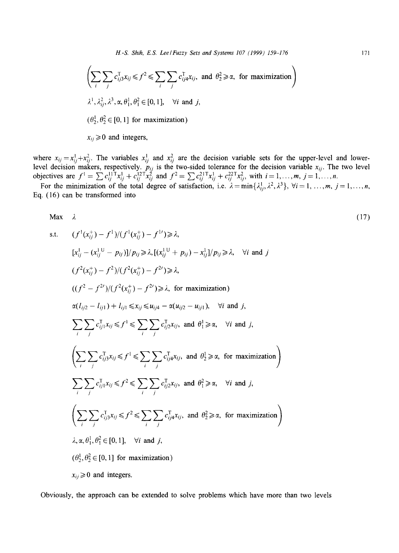$$
\left(\sum_{i}\sum_{j}c_{ij3}^{T}x_{ij} \leq f^{2} \leq \sum_{i}\sum_{j}c_{ij4}^{T}x_{ij}, \text{ and } \theta_{2}^{2} \geq \alpha, \text{ for maximization}\right)
$$
  

$$
\lambda^{1}, \lambda_{ij}^{2}, \lambda^{3}, \alpha, \theta_{1}^{1}, \theta_{1}^{2} \in [0, 1], \forall i \text{ and } j,
$$

$$
(\theta_{2}^{1}, \theta_{2}^{2} \in [0, 1] \text{ for maximization})
$$

$$
x_{ij} \geq 0 \text{ and integers},
$$

where  $x_{ij}=x_{ij}^1+x_{ij}^2$ . The variables  $x_{ij}^1$  and  $x_{ij}^2$  are the decision variable sets for the upper-level and lowerlevel decision makers, respectively, *pij* is the two-sided tolerance for the decision variable *xij.* The two level objectives are  $f' = \sum_{i} c_{ii}^{11} x_{ij}^1 + c_{ii}^{12} x_{ii}^2$  and  $f' = \sum_{i} c_{ii}^{21} x_{ii}^1 + c_{ii}^{22} x_{ii}^2$ , with  $i = 1, ..., m, j = 1, ..., n$ .

Eq. (16) can be transformed into For the minimization of the total degree of satisfaction, i.e.  $\lambda = \min\{\lambda_i^1, \lambda^2, \lambda^3\}, \forall i = 1, ..., m, j = 1, ..., n$ ,

Max 
$$
\lambda
$$
 (17)  
\nst.  $(f^1(x_{ij}^+) - f^1)/(f^1(x_{ij}^+) - f^{1\prime}) \ge \lambda$ ,  
\n $[x_{ij}^1 - (x_{ij}^{11} - p_{ij})]/p_{ij} \ge \lambda, [(x_{ij}^{11} + p_{ij}) - x_{ij}^1]/p_{ij} \ge \lambda, \forall i \text{ and } j$   
\n $(f^2(x_{ij}^+) - f^2)/(f^2(x_{ij}^+) - f^2) \ge \lambda$ ,  
\n $((f^2 - f^2)/(f^2(x_{ij}^+) - f^2) \ge \lambda, \text{ for maximization})$   
\n $\alpha(I_{ij2} - I_{ij1}) + I_{ij1} \le x_{ij} \le u_{ij4} - \alpha(u_{ij2} - u_{ij1}), \forall i \text{ and } j$ ,  
\n
$$
\sum_i \sum_j c_{ij1}^T x_{ij} \le f^1 \le \sum_i \sum_j c_{ij2}^T x_{ij}, \text{ and } \theta_i^1 \ge \alpha, \forall i \text{ and } j
$$
,  
\n
$$
\left(\sum_i \sum_j c_{ij3}^T x_{ij} \le f^1 \le \sum_i \sum_j c_{ij4}^T x_{ij}, \text{ and } \theta_i^1 \ge \alpha, \text{ for maximization}\right)
$$
  
\n
$$
\sum_i \sum_j c_{ij1}^T x_{ij} \le f^2 \le \sum_i \sum_j c_{ij2}^T x_{ij}, \text{ and } \theta_i^2 \ge \alpha, \text{ for maximization}
$$
  
\n
$$
\sum_i \sum_j c_{ij3}^T x_{ij} \le f^2 \le \sum_i \sum_j c_{ij2}^T x_{ij}, \text{ and } \theta_i^2 \ge \alpha, \text{ for maximization}
$$
  
\n
$$
\lambda, \alpha, \theta_i^1, \theta_i^2 \in [0, 1], \forall i \text{ and } j,
$$
  
\n $(\theta_2^1, \theta_2^2 \in [0, 1], \text{ for maximization})$   
\n $x_{ij} \ge 0 \text{ and integers.}$ 

Obviously, the approach can be extended to solve problems which have more than two levels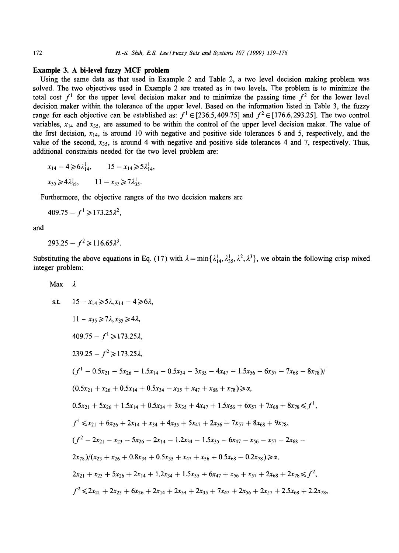# **Example 3. A bi-level fuzzy MCF problem**

Using the same data as that used in Example 2 and Table 2, a two level decision making problem was solved. The two objectives used in Example 2 are treated as in two levels. The problem is to minimize the total cost  $f<sup>1</sup>$  for the upper level decision maker and to minimize the passing time  $f<sup>2</sup>$  for the lower level decision maker within the tolerance of the upper level. Based on the information listed in Table 3, the fuzzy range for each objective can be established as:  $f' \in [236.5, 409.75]$  and  $f' \in [176.6, 293.25]$ . The two control variables,  $x_{14}$  and  $x_{35}$ , are assumed to be within the control of the upper level decision maker. The value of the first decision,  $x_{14}$ , is around 10 with negative and positive side tolerances 6 and 5, respectively, and the value of the second,  $x_{35}$ , is around 4 with negative and positive side tolerances 4 and 7, respectively. Thus, additional constraints needed for the two level problem are:

$$
x_{14} - 4 \ge 6\lambda_{14}^1
$$
,  $15 - x_{14} \ge 5\lambda_{14}^1$ ,  
 $x_{35} \ge 4\lambda_{35}^1$ ,  $11 - x_{35} \ge 7\lambda_{35}^1$ .

Furthermore, the objective ranges of the two decision makers are

$$
409.75 - f^1 \geq 173.25\lambda^2,
$$

and

$$
293.25 - f^2 \geq 116.65 \lambda^3.
$$

Substituting the above equations in Eq. (17) with  $\lambda = \min\{\lambda_{14}^1, \lambda_{15}^1, \lambda^2, \lambda^3\}$ , we obtain the following crisp mixed integer problem:

Max  $\lambda$ 

s.t.  $15 - x_{14} \ge 5\lambda, x_{14} - 4 \ge 6\lambda$ ,

$$
11 - x_{35} \ge 7\lambda, x_{35} \ge 4\lambda,
$$
  
\n
$$
409.75 - f^{1} \ge 173.25\lambda,
$$
  
\n
$$
239.25 - f^{2} \ge 173.25\lambda,
$$
  
\n
$$
(f^{1} - 0.5x_{21} - 5x_{26} - 1.5x_{14} - 0.5x_{34} - 3x_{35} - 4x_{47} - 1.5x_{56} - 6x_{57} - 7x_{68} - 8x_{78})/
$$
  
\n
$$
(0.5x_{21} + x_{26} + 0.5x_{14} + 0.5x_{34} + x_{35} + x_{47} + x_{68} + x_{78}) \ge \alpha,
$$
  
\n
$$
0.5x_{21} + 5x_{26} + 1.5x_{14} + 0.5x_{34} + 3x_{35} + 4x_{47} + 1.5x_{56} + 6x_{57} + 7x_{68} + 8x_{78} \le f^{1},
$$
  
\n
$$
f^{1} \le x_{21} + 6x_{26} + 2x_{14} + x_{34} + 4x_{35} + 5x_{47} + 2x_{56} + 7x_{57} + 8x_{68} + 9x_{78},
$$
  
\n
$$
(f^{2} - 2x_{21} - x_{23} - 5x_{26} - 2x_{14} - 1.2x_{34} - 1.5x_{35} - 6x_{47} - x_{56} - x_{57} - 2x_{68} - 2x_{78})/(x_{23} + x_{26} + 0.8x_{34} + 0.5x_{35} + x_{47} + x_{56} + 0.5x_{68} + 0.2x_{78}) \ge \alpha,
$$
  
\n
$$
2x_{21} + x_{23} + 5x_{26} + 2x_{14} + 1.2x_{34} + 1.5x_{35} + 6x_{47} + x_{56} + x_{57} + 2x_{68} + 2x_{78} \le f^{2},
$$
  
\n
$$
f^{2} \
$$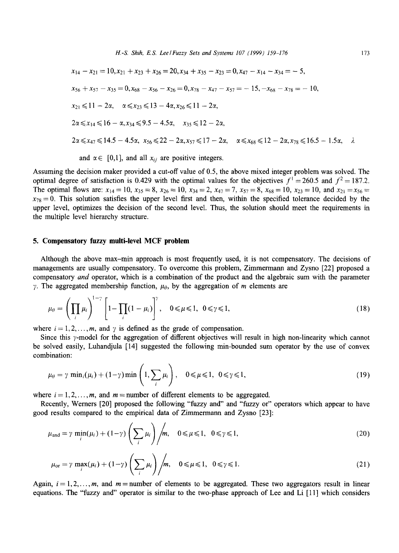$$
x_{14} - x_{21} = 10, x_{21} + x_{23} + x_{26} = 20, x_{34} + x_{35} - x_{23} = 0, x_{47} - x_{14} - x_{34} = -5,
$$
  
\n
$$
x_{56} + x_{57} - x_{35} = 0, x_{68} - x_{56} - x_{26} = 0, x_{78} - x_{47} - x_{57} = -15, -x_{68} - x_{78} = -10,
$$
  
\n
$$
x_{21} \le 11 - 2\alpha, \quad \alpha \le x_{23} \le 13 - 4\alpha, x_{26} \le 11 - 2\alpha,
$$
  
\n
$$
2\alpha \le x_{14} \le 16 - \alpha, x_{34} \le 9.5 - 4.5\alpha, \quad x_{35} \le 12 - 2\alpha,
$$
  
\n
$$
2\alpha \le x_{47} \le 14.5 - 4.5\alpha, \quad x_{56} \le 22 - 2\alpha, x_{57} \le 17 - 2\alpha, \quad \alpha \le x_{68} \le 12 - 2\alpha, x_{78} \le 16.5 - 1.5\alpha, \quad \lambda
$$
  
\nand  $\alpha \in [0,1]$ , and all  $x_{ij}$  are positive integers.

Assuming the decision maker provided a cut-off value of 0.5, the above mixed integer problem was solved. The optimal degree of satisfaction is 0.429 with the optimal values for the objectives  $f' = 260.5$  and  $f' = 187.2$ . The optimal flows are:  $x_{14} = 10$ ,  $x_{35} = 8$ ,  $x_{26} = 10$ ,  $x_{34} = 2$ ,  $x_{47} = 7$ ,  $x_{57} = 8$ ,  $x_{68} = 10$ ,  $x_{23} = 10$ , and  $x_{21} = x_{56} = 10$  $x_{78} = 0$ . This solution satisfies the upper level first and then, within the specified tolerance decided by the upper level, optimizes the decision of the second level. Thus, the solution should meet the requirements in the multiple level hierarchy structure.

# **5. Compensatory fuzzy multi-level MCF problem**

Although the above max-min approach is most frequently used, it is not compensatory. The decisions of managements are usually compensatory. To overcome this problem, Zimmermann and Zysno [22] proposed a compensatory *and* operator, which is a combination of the product and the algebraic sum with the parameter  $\gamma$ . The aggregated membership function,  $\mu_{\theta}$ , by the aggregation of m elements are

$$
\mu_{\theta} = \left(\prod_{i} \mu_{i}\right)^{1-\gamma} \left[1 - \prod_{i} (1-\mu_{i})\right]^{\gamma}, \quad 0 \leq \mu \leq 1, \quad 0 \leq \gamma \leq 1,
$$
\n(18)

where  $i = 1, 2, ..., m$ , and  $\gamma$  is defined as the grade of compensation.

Since this y-model for the aggregation of different objectives will result in high non-linearity which cannot be solved easily, Luhandjula [14] suggested the following min-bounded sum operator by the use of convex combination:

$$
\mu_{\theta} = \gamma \min_{i} (\mu_{i}) + (1 - \gamma) \min \left( 1, \sum_{i} \mu_{i} \right), \quad 0 \le \mu \le 1, \quad 0 \le \gamma \le 1,
$$
\n(19)

where  $i = 1, 2, \ldots, m$ , and  $m =$  number of different elements to be aggregated.

Recently, Werners [20] proposed the following "fuzzy and" and "fuzzy or" operators which appear to have good results compared to the empirical data of Zimmermann and Zysno [23]:

$$
\mu_{\text{and}} = \gamma \min_{i} (\mu_i) + (1 - \gamma) \left( \sum_{i} \mu_i \right) / m, \quad 0 \le \mu \le 1, \quad 0 \le \gamma \le 1,
$$
\n(20)

$$
\mu_{\text{or}} = \gamma \max_{i} (\mu_i) + (1 - \gamma) \left( \sum_{i} \mu_i \right) / m, \quad 0 \le \mu \le 1, \quad 0 \le \gamma \le 1.
$$
 (21)

Again,  $i = 1, 2, \ldots, m$ , and  $m =$  number of elements to be aggregated. These two aggregators result in linear equations. The "fuzzy and" operator is similar to the two-phase approach of Lee and Li [11] which considers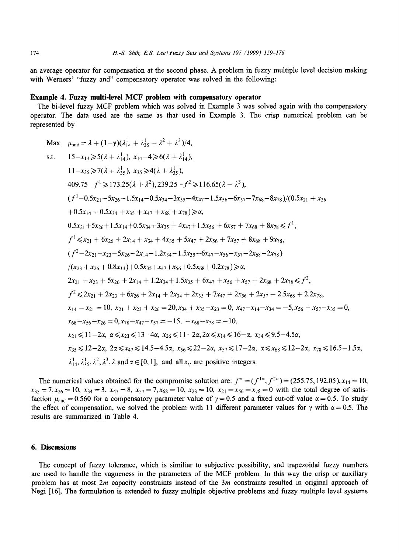an average operator for compensation at the second phase. A problem in fuzzy multiple level decision making with Werners' "fuzzy and" compensatory operator was solved in the following:

# **Example 4. Fuzzy multi-level MCF problem with compensatory operator**

The bi-level fuzzy MCF problem which was solved in Example 3 was solved again with the compensatory operator. The data used are the same as that used in Example 3. The crisp numerical problem can be represented by

Max 
$$
\mu_{and} = \lambda + (1-\gamma)(\lambda_{14}^1 + \lambda_{15}^1 + \lambda^2 + \lambda^3)/4
$$
,  
\ns.t.  $15-x_{14} \ge 5(\lambda + \lambda_{14}^1), x_{14} - 4 \ge 6(\lambda + \lambda_{14}^1),$   
\n $11-x_{35} \ge 7(\lambda + \lambda_{35}^1), x_{35} \ge 4(\lambda + \lambda_{35}^1),$   
\n $409.75 - f^1 \ge 173.25(\lambda + \lambda^2), 239.25 - f^2 \ge 116.65(\lambda + \lambda^3),$   
\n $(f^1 - 0.5x_{21} - 5x_{26} - 1.5x_{14} - 0.5x_{34} - 3x_{35} - 4x_{47} - 1.5x_{56} - 6x_{57} - 7x_{68} - 8x_{78})/(0.5x_{21} + x_{26} + 0.5x_{14} + 0.5x_{34} + x_{35} + x_{47} + x_{68} + x_{78}) \ge \alpha,$   
\n $0.5x_{21} + 5x_{26} + 1.5x_{14} + 0.5x_{34} + 3x_{35} + 4x_{47} + 1.5x_{56} + 6x_{57} + 7x_{68} + 8x_{78} \le f^1,$   
\n $f^1 \le x_{21} + 6x_{26} + 2x_{14} + x_{34} + 4x_{35} + 5x_{47} + 2x_{56} + 7x_{57} + 8x_{68} + 9x_{78},$   
\n $(f^2 - 2x_{21} - x_{23} - 5x_{26} - 2x_{14} - 1.2x_{34} - 1.5x_{35} - 6x_{47} - x_{56} - x_{57} - 2x_{68} - 2x_{78})$   
\n $/(x_{23} + x_{26} + 0.8x_{34}) + 0.5x_{35} + x_{47} + x_{56} + 0.5x_{68} + 0.2x_{78}) \ge \alpha,$   
\n $2x_{21} + x$ 

The numerical values obtained for the compromise solution are:  $f^* = (f^{1*}, f^{2*}) = (255.75, 192.05), x_{14} = 10$ ,  $x_{35} = 7, x_{26} = 10, x_{34} = 3, x_{47} = 8, x_{57} = 7, x_{68} = 10, x_{23} = 10, x_{21} = x_{56} = x_{78} = 0$  with the total degree of satisfaction  $\mu_{and} = 0.560$  for a compensatory parameter value of  $\gamma = 0.5$  and a fixed cut-off value  $\alpha = 0.5$ . To study the effect of compensation, we solved the problem with 11 different parameter values for  $\gamma$  with  $\alpha = 0.5$ . The results are summarized in Table 4.

# **6. Discussions**

The concept of fuzzy tolerance, which is similiar to subjective possibility, and trapezoidal fuzzy numbers are used to handle the vagueness in the parameters of the MCF problem. In this way the crisp or auxiliary problem has at most  $2m$  capacity constraints instead of the  $3m$  constraints resulted in original approach of Negi [16]. The formulation is extended to fuzzy multiple objective problems and fuzzy multiple level systems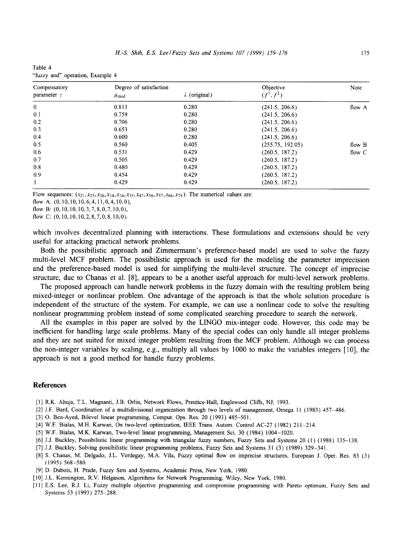| Table 4 |                                  |  |
|---------|----------------------------------|--|
|         | "fuzzy and" operation, Example 4 |  |

| Compensatory       | Degree of satisfaction |                      | Objective        | Note     |
|--------------------|------------------------|----------------------|------------------|----------|
| parameter $\gamma$ | $\mu_{\text{mod}}$     | $\lambda$ (original) | $(f^1, f^2)$     |          |
| $\bf{0}$           | 0.813                  | 0.280                | (241.5, 206.6)   | flow A   |
| 0.1                | 0.759                  | 0.280                | (241.5, 206.6)   |          |
| 0.2                | 0.706                  | 0.280                | (241.5, 206.6)   |          |
| 0.3                | 0.653                  | 0.280                | (241.5, 206.6)   |          |
| 0.4                | 0.600                  | 0.280                | (241.5, 206.6)   |          |
| 0.5                | 0.560                  | 0.405                | (255.75, 192.05) | flow B   |
| 0.6                | 0.531                  | 0.429                | (260.5, 187.2)   | flow $C$ |
| 0.7                | 0.505                  | 0.429                | (260.5, 187.2)   |          |
| 0.8                | 0.480                  | 0.429                | (260.5, 187.2)   |          |
| 0.9                | 0.454                  | 0.429                | (260.5, 187.2)   |          |
|                    | 0.429                  | 0.429                | (260.5, 187.2)   |          |

Flow sequences:  $(x_{21}, x_{23}, x_{26}, x_{14}, x_{34}, x_{35}, x_{47}, x_{56}, x_{57}, x_{68}, x_{78})$ . The numerical values are:

flow A: (0, 10, 10, 10,6,4, 11,0,4, 10,0),

flow B: (0, 10, 10, 10, 3, 7, 8, 0, 7, 10, 0).

flow C: (0,10,10,10,2,8,7,0,8,10,0).

which involves decentralized planning with interactions. These formulations and extensions should be very useful for attacking practical network problems.

Both the possibilistic approach and Zimmermann's preference-based model are used to solve the fuzzy multi-level MCF problem. The possibilistic approach is used for the modeling the parameter imprecision and the preference-based model is used for simplifying the multi-level structure. The concept of imprecise structure, due to Chanas et al. [8], appears to be a another useful approach for multi-level network problems.

The proposed approach can handle network problems in the fuzzy domain with the resulting problem being mixed-integer or nonlinear problem. One advantage of the approach is that the whole solution procedure is independent of the structure of the system. For example, we can use a nonlinear code to solve the resulting nonlinear programming problem instead of some complicated searching procedure to search the network.

All the examples in this paper are solved by the LINGO mix-integer code. However, this code may be inefficient for handling large scale problems. Many of the special codes can only handle all integer problems and they are not suited for mixed integer problem resulting from the MCF problem. Although we can process the non-integer variables by scaling, e.g., multiply all values by 1000 to make the variables integers [10], the approach is not a good method for handle fuzzy problems.

#### **References**

- [1] R.K. Ahuja, T.L. Magnanti, J.B. Odin, Network Flows, Prentice-Hall, Englewood Cliffs, NJ, 1993.
- [2] J.F. Bard, Coordination of a multidivisional organization through two levels of management, Omega 11 (1983) 457-486.
- [31 O. Ben-Ayed, Bilevel linear programming, Comput. Ops. Res. 20 (1993) 485-501.
- [4] W.F. Bialas, M.H. Karwan, On two-level optimization, IEEE Trans. Autom. Control AC-27 (1982) 211-214.
- [5] W.F. Bialas, M.K. Karwan, Two-level linear programming, Management Sci. 30 (1984) 1004-1020.
- [6] J.J. Buckley, Possibilistic linear programming with triangular fuzzy numbers, Fuzzy Sets and Systems 20 (1) (1988) 135-138.
- [7] J.J. Buckley, Solving possibilistic linear programming problems, Fuzzy Sets and Systems 31 (3) (1989) 329-341.
- [8] S. Chanas, M. Delgado, J.L. Verdegay, M.A. Vila, Fuzzy optimal flow on imprecise structures, European J. Oper. Res. 83 (3) (1995) 568-580.
- [9] D. Dubois, H. Prade, Fuzzy Sets and Systems, Academic Press, New York, 1980.
- [10] J.L. Kennington, R.V. Helgason, Algorithms for Network Programming, Wiley, New York, 1980.
- [11] E.S. Lee, R.J. Li, Fuzzy multiple objective programming and compromise programming with Pareto optimum, Fuzzy Sets and Systems 53 (1993) 275-288.